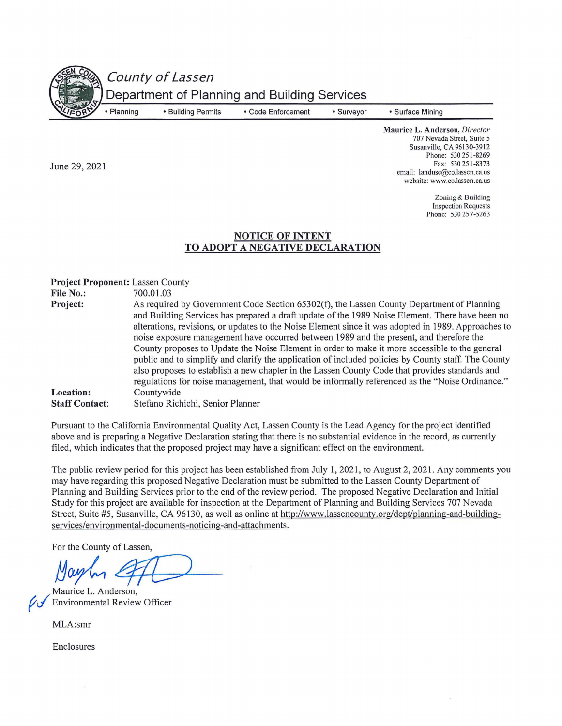County of Lassen

• Building Permits

Department of Planning and Building Services

• Planning

June 29, 2021

• Code Enforcement

• Surveyor

• Surface Mining

**Maurice L. Anderson,** *Director*  707 Nevada Street, Suite 5 Susanville, CA 96130-3912 Phone: 530 251-8269 Fax: 530 251-8373 email: landuse@co.lassen.ca.us website: www.co.lassen.ca.us

> Zoning & Building Inspection Requests Phone: 530 257-5263

## **NOTICE OF INTENT TO ADOPT A NEGATIVE DECLARATION**

**Project Proponent:** Lassen County<br>**File No.:** 700.01.03 **File No.: Project: Location: Staff Contact:**  As required by Government Code Section 65302(f), the Lassen County Department of Planning and Building Services has prepared a draft update of the 1989 Noise Element. There have been no alterations, revisions, or updates to the Noise Element since it was adopted in 1989. Approaches to noise exposure management have occurred between 1989 and the present, and therefore the County proposes to Update the Noise Element in order to make it more accessible to the general public and to simplify and clarify the application of included policies by County staff. The County also proposes to establish a new chapter in the Lassen County Code that provides standards and regulations for noise management, that would be informally referenced as the "Noise Ordinance." Countywide Stefano Richichi, Senior Planner

Pursuant to the California Environmental Quality Act, Lassen County is the Lead Agency for the project identified above and is preparing a Negative Declaration stating that there is no substantial evidence in the record, as currently filed, which indicates that the proposed project may have a significant effect on the environment.

The public review period for this project has been established from July I, 2021, to August 2, 2021. Any comments you may have regarding this proposed Negative Declaration must be submitted to the Lassen County Department of Planning and Building Services prior to the end of the review period. The proposed Negative Declaration and Initial Study for this project are available for inspection at the Department of Planning and Building Services 707 Nevada Street, Suite #5, Susanville, CA 96130, as well as online at http://www.lassencounty.org/dept/planning-and-buildingservices/environmental-documents-noticing-and-attachments.

For the County of Lassen,

May 1 **eff** 

MLA:smr

Enclosures